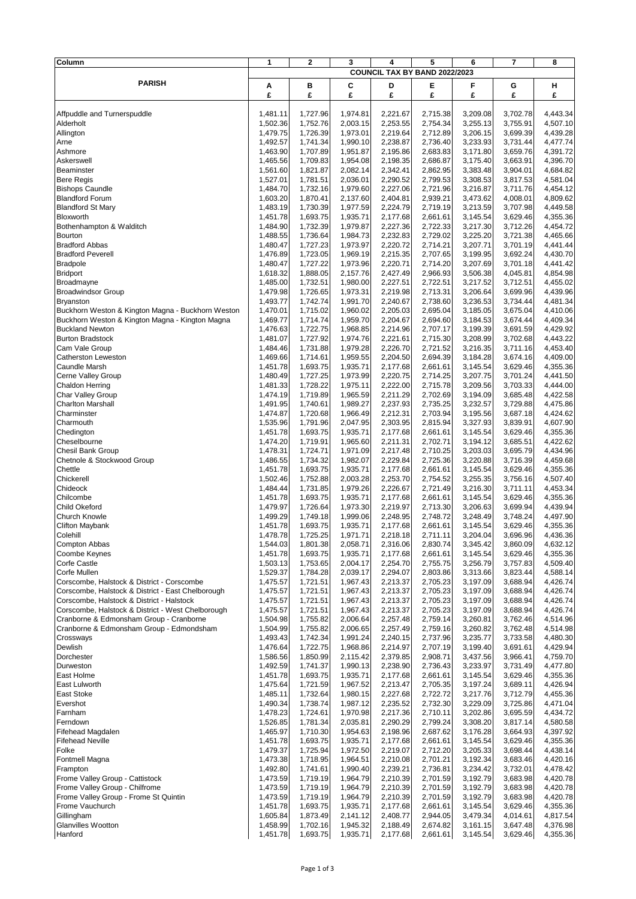| Column                                                                              | 1                    | $\mathbf 2$          | 3                    | 4                             | 5                    | 6                    | 7                    | 8                    |
|-------------------------------------------------------------------------------------|----------------------|----------------------|----------------------|-------------------------------|----------------------|----------------------|----------------------|----------------------|
|                                                                                     |                      |                      |                      | COUNCIL TAX BY BAND 2022/2023 |                      |                      |                      |                      |
| <b>PARISH</b>                                                                       | Α                    | В                    | С                    | D                             | Е                    | F                    | G                    | н                    |
|                                                                                     | £                    | £                    | £                    | £                             | £                    | £                    | £                    | £                    |
|                                                                                     |                      |                      |                      |                               |                      |                      |                      |                      |
| Affpuddle and Turnerspuddle                                                         | 1,481.11             | 1,727.96             | 1,974.81             | 2,221.67                      | 2,715.38             | 3,209.08             | 3,702.78             | 4,443.34             |
| Alderholt                                                                           | 1,502.36             | 1,752.76             | 2,003.15             | 2,253.55                      | 2,754.34             | 3,255.13             | 3,755.91             | 4,507.10             |
| Allington                                                                           | 1,479.75             | 1,726.39             | 1,973.01             | 2,219.64                      | 2,712.89             | 3,206.15             | 3,699.39             | 4,439.28             |
| Arne                                                                                | 1,492.57             | 1,741.34             | 1,990.10             | 2,238.87                      | 2,736.40             | 3,233.93             | 3,731.44             | 4,477.74             |
| Ashmore                                                                             | 1,463.90             | 1,707.89             | 1,951.87             | 2,195.86                      | 2,683.83             | 3,171.80             | 3,659.76             | 4,391.72             |
| Askerswell                                                                          | 1,465.56             | 1,709.83             | 1,954.08             | 2,198.35                      | 2,686.87             | 3,175.40             | 3,663.91             | 4,396.70             |
| Beaminster                                                                          | 1,561.60             | 1,821.87             | 2,082.14             | 2,342.41                      | 2,862.95             | 3,383.48             | 3,904.01             | 4,684.82             |
| <b>Bere Regis</b>                                                                   | 1,527.01             | 1,781.51             | 2,036.01             | 2,290.52                      | 2,799.53             | 3,308.53             | 3,817.53             | 4,581.04             |
| <b>Bishops Caundle</b>                                                              | 1,484.70             | 1,732.16             | 1,979.60             | 2,227.06                      | 2,721.96             | 3,216.87             | 3,711.76             | 4,454.12             |
| <b>Blandford Forum</b>                                                              | 1,603.20             | 1,870.41             | 2,137.60             | 2,404.81                      | 2,939.21             | 3,473.62             | 4,008.01             | 4,809.62             |
| <b>Blandford St Mary</b>                                                            | 1,483.19             | 1,730.39             | 1,977.59             | 2,224.79                      | 2,719.19             | 3,213.59             | 3,707.98             | 4,449.58             |
| Bloxworth                                                                           | 1,451.78             | 1,693.75             | 1,935.71             | 2,177.68                      | 2,661.61             | 3,145.54             | 3,629.46             | 4,355.36             |
| Bothenhampton & Walditch                                                            | 1,484.90             | 1,732.39             | 1,979.87             | 2,227.36                      | 2,722.33             | 3,217.30             | 3,712.26             | 4,454.72             |
| Bourton                                                                             | 1,488.55             | 1,736.64             | 1,984.73             | 2,232.83                      | 2,729.02             | 3,225.20             | 3,721.38             | 4,465.66             |
| <b>Bradford Abbas</b>                                                               | 1,480.47             | 1,727.23             | 1,973.97             | 2,220.72                      | 2,714.21             | 3,207.71             | 3,701.19             | 4,441.44             |
| <b>Bradford Peverell</b>                                                            | 1,476.89             | 1,723.05             | 1,969.19             | 2,215.35                      | 2,707.65             | 3,199.95             | 3,692.24             | 4,430.70             |
| <b>Bradpole</b>                                                                     | 1,480.47             | 1,727.22             | 1,973.96             | 2,220.71                      | 2,714.20             | 3,207.69             | 3,701.18             | 4,441.42             |
| <b>Bridport</b>                                                                     | 1,618.32             | 1,888.05             | 2,157.76             | 2,427.49                      | 2,966.93             | 3,506.38             | 4,045.81             | 4,854.98             |
| Broadmayne                                                                          | 1,485.00             | 1,732.51             | 1,980.00             | 2,227.51                      | 2,722.51             | 3,217.52             | 3,712.51             | 4,455.02             |
| <b>Broadwindsor Group</b>                                                           | 1,479.98             | 1,726.65             | 1,973.31             | 2,219.98                      | 2,713.31             | 3,206.64             | 3,699.96             | 4,439.96             |
| <b>Bryanston</b>                                                                    | 1,493.77             | 1,742.74             | 1,991.70             | 2,240.67                      | 2,738.60             | 3,236.53             | 3,734.44             | 4,481.34             |
| Buckhorn Weston & Kington Magna - Buckhorn Weston                                   | 1,470.01             | 1,715.02             | 1,960.02             | 2,205.03                      | 2,695.04             | 3,185.05             | 3,675.04             | 4,410.06             |
| Buckhorn Weston & Kington Magna - Kington Magna                                     | 1,469.77             | 1,714.74             | 1,959.70             | 2,204.67                      | 2,694.60             | 3,184.53             | 3,674.44             | 4,409.34             |
| <b>Buckland Newton</b>                                                              | 1,476.63             | 1,722.75             | 1,968.85             | 2,214.96                      | 2,707.17             | 3,199.39             | 3,691.59             | 4,429.92             |
| <b>Burton Bradstock</b>                                                             | 1,481.07             | 1,727.92             | 1,974.76             | 2,221.61                      | 2,715.30             | 3,208.99             | 3,702.68             | 4,443.22             |
| Cam Vale Group                                                                      | 1,484.46             | 1,731.88             | 1,979.28             | 2,226.70                      | 2,721.52             | 3,216.35             | 3,711.16             | 4,453.40             |
| <b>Catherston Leweston</b>                                                          | 1,469.66             | 1,714.61             | 1,959.55             | 2,204.50                      | 2,694.39             | 3,184.28             | 3,674.16             | 4,409.00             |
| Caundle Marsh                                                                       | 1,451.78             | 1,693.75             | 1,935.71             | 2,177.68                      | 2,661.61             | 3,145.54             | 3,629.46             | 4,355.36             |
| Cerne Valley Group                                                                  | 1,480.49             | 1,727.25             | 1,973.99             | 2,220.75                      | 2,714.25             | 3,207.75             | 3,701.24             | 4,441.50             |
| <b>Chaldon Herring</b>                                                              | 1,481.33             | 1,728.22             | 1,975.11             | 2,222.00                      | 2,715.78             | 3,209.56             | 3,703.33             | 4,444.00             |
| <b>Char Valley Group</b>                                                            | 1,474.19             | 1,719.89             | 1,965.59             | 2,211.29                      | 2,702.69             | 3,194.09             | 3,685.48             | 4,422.58             |
| <b>Charlton Marshall</b>                                                            | 1,491.95             | 1,740.61             | 1,989.27             | 2,237.93                      | 2,735.25             | 3,232.57             | 3,729.88             | 4,475.86             |
| Charminster                                                                         | 1,474.87             | 1,720.68             | 1,966.49             | 2,212.31                      | 2,703.94             | 3,195.56             | 3,687.18             | 4,424.62             |
| Charmouth                                                                           | 1,535.96             | 1,791.96             | 2,047.95             | 2,303.95                      | 2,815.94             | 3,327.93             | 3,839.91             | 4,607.90             |
| Chedington                                                                          | 1,451.78             | 1,693.75             | 1,935.71             | 2,177.68                      | 2,661.61             | 3,145.54             | 3,629.46             | 4,355.36             |
| Cheselbourne                                                                        | 1,474.20             | 1,719.91             | 1,965.60             | 2,211.31                      | 2,702.71             | 3,194.12             | 3,685.51             | 4,422.62             |
| Chesil Bank Group                                                                   | 1,478.31             | 1,724.71             | 1,971.09             | 2,217.48                      | 2,710.25             | 3,203.03             | 3,695.79             | 4,434.96             |
| Chetnole & Stockwood Group                                                          | 1,486.55             | 1,734.32             | 1,982.07             | 2,229.84                      | 2,725.36             | 3,220.88             | 3,716.39             | 4,459.68             |
| Chettle                                                                             | 1,451.78             | 1,693.75             | 1,935.71             | 2,177.68                      | 2,661.61             | 3,145.54             | 3,629.46             | 4,355.36             |
| Chickerell                                                                          | 1,502.46             | 1,752.88             | 2,003.28             | 2,253.70                      | 2,754.52             | 3,255.35             | 3,756.16             | 4,507.40             |
| Chideock                                                                            | 1,484.44             | 1,731.85             | 1,979.26             | 2,226.67                      | 2,721.49             | 3,216.30             | 3,711.11             | 4,453.34             |
| Chilcombe                                                                           | 1,451.78             | 1,693.75             | 1,935.71             | 2,177.68                      | 2,661.61             | 3,145.54             | 3,629.46             | 4,355.36             |
| Child Okeford                                                                       | 1,479.97             | 1,726.64             | 1,973.30             | 2,219.97                      | 2,713.30             | 3,206.63             | 3,699.94             | 4,439.94             |
| Church Knowle                                                                       | 1,499.29             | 1,749.18             | 1,999.06             | 2,248.95                      | 2,748.72             | 3,248.49             | 3,748.24             | 4,497.90             |
| Clifton Maybank                                                                     | 1,451.78             | 1,693.75             | 1,935.71             | 2,177.68                      | 2,661.61             | 3,145.54             | 3,629.46             | 4,355.36             |
| Colehill                                                                            | 1,478.78             | 1,725.25             | 1,971.71             | 2,218.18                      | 2,711.11             | 3,204.04             | 3,696.96             | 4,436.36             |
| Compton Abbas                                                                       | 1,544.03             | 1,801.38             | 2,058.71             | 2,316.06                      | 2,830.74             | 3,345.42             | 3,860.09             | 4,632.12             |
| Coombe Keynes                                                                       | 1,451.78             | 1,693.75             | 1,935.71             |                               | 2,661.61             | 3,145.54             | 3,629.46             | 4,355.36             |
|                                                                                     |                      |                      |                      | 2,177.68                      |                      |                      |                      |                      |
| Corfe Castle                                                                        | 1,503.13             | 1,753.65             | 2,004.17             | 2,254.70                      | 2,755.75             | 3,256.79<br>3,313.66 | 3,757.83             | 4,509.40<br>4,588.14 |
| Corfe Mullen                                                                        | 1,529.37             | 1,784.28             | 2,039.17             | 2,294.07                      | 2,803.86             |                      | 3,823.44             |                      |
| Corscombe, Halstock & District - Corscombe                                          | 1,475.57             | 1,721.51             | 1,967.43             | 2,213.37                      | 2,705.23             | 3,197.09             | 3,688.94             | 4,426.74             |
| Corscombe, Halstock & District - East Chelborough                                   | 1,475.57             | 1,721.51             | 1,967.43<br>1,967.43 | 2,213.37                      | 2,705.23             | 3,197.09             | 3,688.94<br>3,688.94 | 4,426.74<br>4,426.74 |
| Corscombe, Halstock & District - Halstock                                           | 1,475.57             | 1,721.51             |                      | 2,213.37                      | 2,705.23             | 3,197.09             |                      |                      |
| Corscombe, Halstock & District - West Chelborough                                   | 1,475.57<br>1,504.98 | 1,721.51<br>1,755.82 | 1,967.43<br>2,006.64 | 2,213.37                      | 2,705.23             | 3,197.09             | 3,688.94<br>3,762.46 | 4,426.74             |
| Cranborne & Edmonsham Group - Cranborne<br>Cranborne & Edmonsham Group - Edmondsham |                      |                      |                      | 2,257.48                      | 2,759.14<br>2,759.16 | 3,260.81             |                      | 4,514.96             |
|                                                                                     | 1,504.99             | 1,755.82             | 2,006.65             | 2,257.49                      |                      | 3,260.82             | 3,762.48             | 4,514.98             |
| Crossways                                                                           | 1,493.43             | 1,742.34             | 1,991.24             | 2,240.15                      | 2,737.96             | 3,235.77             | 3,733.58             | 4,480.30             |
| Dewlish                                                                             | 1,476.64             | 1,722.75             | 1,968.86             | 2,214.97                      | 2,707.19             | 3,199.40             | 3,691.61             | 4,429.94             |
| Dorchester                                                                          | 1,586.56             | 1,850.99             | 2,115.42             | 2,379.85                      | 2,908.71             | 3,437.56             | 3,966.41             | 4,759.70             |
| Durweston                                                                           | 1,492.59             | 1,741.37             | 1,990.13             | 2,238.90                      | 2,736.43             | 3,233.97             | 3,731.49             | 4,477.80             |
| East Holme                                                                          | 1,451.78             | 1,693.75             | 1,935.71             | 2,177.68                      | 2,661.61             | 3,145.54             | 3,629.46             | 4,355.36             |
| East Lulworth                                                                       | 1,475.64             | 1,721.59             | 1,967.52             | 2,213.47                      | 2,705.35             | 3,197.24             | 3,689.11             | 4,426.94             |
| <b>East Stoke</b>                                                                   | 1,485.11             | 1,732.64             | 1,980.15             | 2,227.68                      | 2,722.72             | 3,217.76             | 3,712.79             | 4,455.36             |
| Evershot                                                                            | 1,490.34             | 1,738.74             | 1,987.12             | 2,235.52                      | 2,732.30             | 3,229.09             | 3,725.86             | 4,471.04             |
| Farnham                                                                             | 1,478.23             | 1,724.61             | 1,970.98             | 2,217.36                      | 2,710.11             | 3,202.86             | 3,695.59             | 4,434.72             |
| Ferndown                                                                            | 1,526.85             | 1,781.34             | 2,035.81             | 2,290.29                      | 2,799.24             | 3,308.20             | 3,817.14             | 4,580.58             |
| Fifehead Magdalen                                                                   | 1,465.97             | 1,710.30             | 1,954.63             | 2,198.96                      | 2,687.62             | 3,176.28             | 3,664.93             | 4,397.92             |
| <b>Fifehead Neville</b>                                                             | 1,451.78             | 1,693.75             | 1,935.71             | 2,177.68                      | 2,661.61             | 3,145.54             | 3,629.46             | 4,355.36             |
| Folke                                                                               | 1,479.37             | 1,725.94             | 1,972.50             | 2,219.07                      | 2,712.20             | 3,205.33             | 3,698.44             | 4,438.14             |
| Fontmell Magna                                                                      | 1,473.38             | 1,718.95             | 1,964.51             | 2,210.08                      | 2,701.21             | 3,192.34             | 3,683.46             | 4,420.16             |
| Frampton                                                                            | 1,492.80             | 1,741.61             | 1,990.40             | 2,239.21                      | 2,736.81             | 3,234.42             | 3,732.01             | 4,478.42             |
| Frome Valley Group - Cattistock                                                     | 1,473.59             | 1,719.19             | 1,964.79             | 2,210.39                      | 2,701.59             | 3,192.79             | 3,683.98             | 4,420.78             |
| Frome Valley Group - Chilfrome                                                      | 1,473.59             | 1,719.19             | 1,964.79             | 2,210.39                      | 2,701.59             | 3,192.79             | 3,683.98             | 4,420.78             |
| Frome Valley Group - Frome St Quintin                                               | 1,473.59             | 1,719.19             | 1,964.79             | 2,210.39                      | 2,701.59             | 3,192.79             | 3,683.98             | 4,420.78             |
| Frome Vauchurch                                                                     | 1,451.78             | 1,693.75             | 1,935.71             | 2,177.68                      | 2,661.61             | 3,145.54             | 3,629.46             | 4,355.36             |
| Gillingham                                                                          | 1,605.84             | 1,873.49             | 2,141.12             | 2,408.77                      | 2,944.05             | 3,479.34             | 4,014.61             | 4,817.54             |
| Glanvilles Wootton                                                                  | 1,458.99             | 1,702.16             | 1,945.32             | 2,188.49                      | 2,674.82             | 3,161.15             | 3,647.48             | 4,376.98             |
| Hanford                                                                             | 1,451.78             | 1,693.75             | 1,935.71             | 2,177.68                      | 2,661.61             | 3,145.54             | 3,629.46             | 4,355.36             |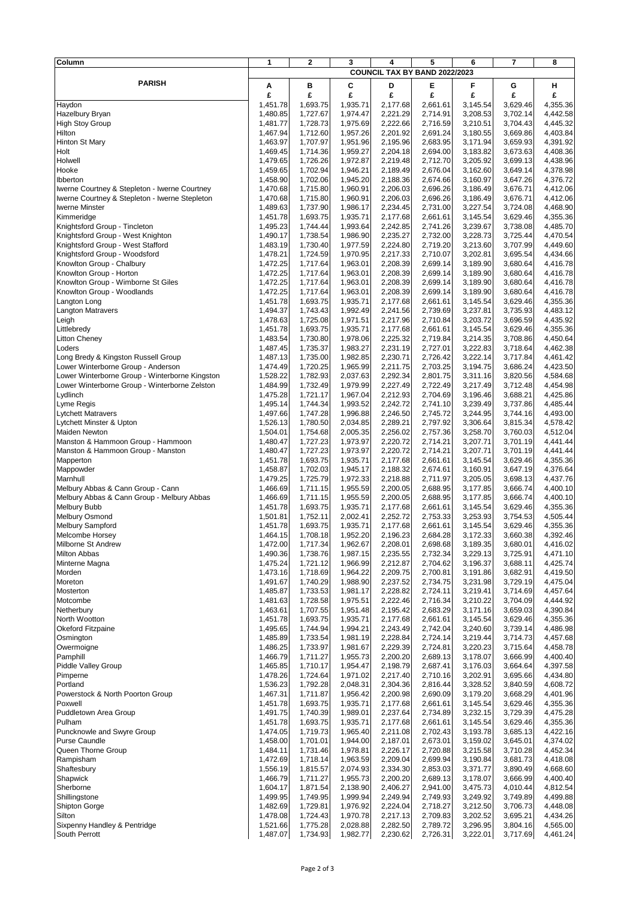| Column                                         | 1                    | 2                    | 3                    | 4                             | 5                    | 6                    | 7                    | 8                    |
|------------------------------------------------|----------------------|----------------------|----------------------|-------------------------------|----------------------|----------------------|----------------------|----------------------|
|                                                |                      |                      |                      | COUNCIL TAX BY BAND 2022/2023 |                      |                      |                      |                      |
| <b>PARISH</b>                                  | Α                    | в                    | C                    | D                             | Е                    | F                    | G                    | н                    |
|                                                | £                    | £                    | £                    | £                             | £                    | £                    | £                    | £                    |
| Haydon                                         | 1,451.78             | 1,693.75             | 1,935.71             | 2,177.68                      | 2,661.61             | 3,145.54             | 3,629.46             | 4,355.36             |
| Hazelbury Bryan                                | 1,480.85             | 1,727.67             | 1,974.47             | 2,221.29                      | 2,714.91             | 3,208.53             | 3,702.14             | 4,442.58             |
| <b>High Stoy Group</b>                         | 1,481.77             | 1,728.73             | 1,975.69             | 2,222.66                      | 2,716.59             | 3,210.51             | 3,704.43             | 4,445.32             |
| Hilton                                         | 1,467.94             | 1,712.60             | 1,957.26             | 2,201.92                      | 2,691.24             | 3,180.55             | 3,669.86             | 4,403.84             |
| Hinton St Mary                                 | 1,463.97             | 1,707.97             | 1,951.96             | 2,195.96                      | 2,683.95             | 3,171.94             | 3,659.93             | 4,391.92             |
| Holt                                           | 1,469.45             | 1,714.36             | 1,959.27             | 2,204.18                      | 2,694.00             | 3,183.82             | 3,673.63             | 4,408.36             |
| Holwell                                        | 1,479.65             | 1,726.26             | 1,972.87             | 2,219.48                      | 2,712.70             | 3,205.92             | 3,699.13             | 4,438.96             |
| Hooke                                          | 1,459.65             | 1,702.94             | 1,946.21             | 2,189.49                      | 2,676.04             | 3,162.60             | 3,649.14             | 4,378.98             |
| Ibberton                                       | 1,458.90             | 1,702.06             | 1,945.20             | 2,188.36                      | 2,674.66             | 3,160.97             | 3,647.26             | 4,376.72             |
| Iwerne Courtney & Stepleton - Iwerne Courtney  | 1,470.68             | 1,715.80             | 1,960.91             | 2,206.03                      | 2,696.26             | 3,186.49             | 3,676.71             | 4,412.06             |
| Iwerne Courtney & Stepleton - Iwerne Stepleton | 1,470.68             | 1,715.80             | 1,960.91             | 2,206.03                      | 2,696.26             | 3,186.49             | 3,676.71             | 4,412.06<br>4,468.90 |
| <b>Iwerne Minster</b>                          | 1,489.63             | 1,737.90             | 1,986.17             | 2,234.45                      | 2,731.00             | 3,227.54             | 3,724.08             |                      |
| Kimmeridge<br>Knightsford Group - Tincleton    | 1,451.78<br>1,495.23 | 1,693.75<br>1,744.44 | 1,935.71<br>1,993.64 | 2,177.68<br>2,242.85          | 2,661.61<br>2,741.26 | 3,145.54<br>3,239.67 | 3,629.46<br>3,738.08 | 4,355.36<br>4,485.70 |
| Knightsford Group - West Knighton              | 1,490.17             | 1,738.54             | 1,986.90             | 2,235.27                      | 2,732.00             | 3,228.73             | 3,725.44             | 4,470.54             |
| Knightsford Group - West Stafford              | 1,483.19             | 1,730.40             | 1,977.59             | 2,224.80                      | 2,719.20             | 3,213.60             | 3,707.99             | 4,449.60             |
| Knightsford Group - Woodsford                  | 1,478.21             | 1,724.59             | 1,970.95             | 2,217.33                      | 2,710.07             | 3,202.81             | 3,695.54             | 4,434.66             |
| Knowlton Group - Chalbury                      | 1,472.25             | 1,717.64             | 1,963.01             | 2,208.39                      | 2,699.14             | 3,189.90             | 3,680.64             | 4,416.78             |
| Knowlton Group - Horton                        | 1,472.25             | 1,717.64             | 1,963.01             | 2,208.39                      | 2,699.14             | 3,189.90             | 3,680.64             | 4,416.78             |
| Knowlton Group - Wimborne St Giles             | 1,472.25             | 1,717.64             | 1,963.01             | 2,208.39                      | 2,699.14             | 3,189.90             | 3,680.64             | 4,416.78             |
| Knowlton Group - Woodlands                     | 1,472.25             | 1,717.64             | 1,963.01             | 2,208.39                      | 2,699.14             | 3,189.90             | 3,680.64             | 4,416.78             |
| Langton Long                                   | 1,451.78             | 1,693.75             | 1,935.71             | 2,177.68                      | 2,661.61             | 3,145.54             | 3,629.46             | 4,355.36             |
| <b>Langton Matravers</b>                       | 1,494.37             | 1,743.43             | 1,992.49             | 2,241.56                      | 2,739.69             | 3,237.81             | 3,735.93             | 4,483.12             |
| Leigh                                          | 1,478.63             | 1,725.08             | 1,971.51             | 2,217.96                      | 2,710.84             | 3,203.72             | 3,696.59             | 4,435.92             |
| Littlebredy                                    | 1,451.78             | 1,693.75             | 1,935.71             | 2,177.68                      | 2,661.61             | 3,145.54             | 3,629.46             | 4,355.36             |
| <b>Litton Cheney</b>                           | 1,483.54             | 1,730.80             | 1,978.06             | 2,225.32                      | 2,719.84             | 3,214.35             | 3,708.86             | 4,450.64             |
| Loders                                         | 1,487.45             | 1,735.37             | 1,983.27             | 2,231.19                      | 2,727.01             | 3,222.83             | 3,718.64             | 4,462.38             |
| Long Bredy & Kingston Russell Group            | 1,487.13             | 1,735.00             | 1,982.85             | 2,230.71                      | 2,726.42             | 3,222.14             | 3,717.84             | 4,461.42             |
| Lower Winterborne Group - Anderson             | 1,474.49             | 1,720.25             | 1,965.99             | 2,211.75                      | 2,703.25             | 3,194.75             | 3,686.24             | 4,423.50             |
| Lower Winterborne Group - Winterborne Kingston | 1,528.22             | 1,782.93             | 2,037.63             | 2,292.34                      | 2,801.75             | 3,311.16             | 3,820.56             | 4,584.68             |
| Lower Winterborne Group - Winterborne Zelston  | 1,484.99             | 1,732.49             | 1,979.99             | 2,227.49                      | 2,722.49             | 3,217.49             | 3,712.48             | 4,454.98             |
| Lydlinch                                       | 1,475.28             | 1,721.17             | 1,967.04             | 2,212.93                      | 2,704.69             | 3,196.46             | 3,688.21             | 4,425.86             |
| Lyme Regis                                     | 1,495.14             | 1,744.34             | 1,993.52             | 2,242.72                      | 2,741.10             | 3,239.49             | 3,737.86             | 4,485.44             |
| <b>Lytchett Matravers</b>                      | 1,497.66             | 1,747.28             | 1,996.88             | 2,246.50                      | 2,745.72             | 3,244.95             | 3,744.16             | 4,493.00             |
| Lytchett Minster & Upton                       | 1,526.13             | 1,780.50             | 2,034.85             | 2,289.21                      | 2,797.92             | 3,306.64             | 3,815.34             | 4,578.42             |
| Maiden Newton                                  | 1,504.01             | 1,754.68             | 2,005.35             | 2,256.02                      | 2,757.36             | 3,258.70             | 3,760.03             | 4,512.04             |
| Manston & Hammoon Group - Hammoon              | 1,480.47             | 1,727.23             | 1,973.97             | 2,220.72                      | 2,714.21             | 3,207.71             | 3,701.19             | 4,441.44             |
| Manston & Hammoon Group - Manston              | 1,480.47             | 1,727.23             | 1,973.97             | 2,220.72                      | 2,714.21             | 3,207.71             | 3,701.19             | 4,441.44             |
| Mapperton                                      | 1,451.78             | 1,693.75             | 1,935.71             | 2,177.68                      | 2,661.61             | 3,145.54             | 3,629.46             | 4,355.36             |
| Mappowder                                      | 1,458.87             | 1,702.03             | 1,945.17             | 2,188.32                      | 2,674.61             | 3,160.91             | 3,647.19             | 4,376.64             |
| Marnhull                                       | 1,479.25             | 1,725.79             | 1,972.33             | 2,218.88                      | 2,711.97             | 3,205.05             | 3,698.13             | 4,437.76             |
| Melbury Abbas & Cann Group - Cann              | 1,466.69             | 1,711.15             | 1,955.59             | 2,200.05                      | 2,688.95             | 3,177.85             | 3,666.74             | 4,400.10             |
| Melbury Abbas & Cann Group - Melbury Abbas     | 1,466.69             | 1,711.15             | 1,955.59             | 2,200.05                      | 2,688.95             | 3,177.85             | 3,666.74             | 4,400.10             |
| Melbury Bubb                                   | 1,451.78             | 1,693.75             | 1,935.71             | 2,177.68                      | 2,661.61             | 3,145.54             | 3,629.46             | 4,355.36             |
| Melbury Osmond                                 | 1,501.81             | 1,752.11             | 2,002.41             | 2,252.72                      | 2,753.33             | 3,253.93             | 3,754.53             | 4,505.44             |
| <b>Melbury Sampford</b>                        | 1,451.78<br>1,464.15 | 1,693.75             | 1,935.71<br>1,952.20 | 2,177.68                      | 2,661.61<br>2,684.28 | 3,145.54             | 3,629.46<br>3,660.38 | 4,355.36             |
| Melcombe Horsey                                |                      | 1,708.18             |                      | 2,196.23                      |                      | 3,172.33<br>3,189.35 | 3,680.01             | 4,392.46             |
| Milborne St Andrew<br>Milton Abbas             | 1,472.00<br>1,490.36 | 1,717.34<br>1,738.76 | 1,962.67<br>1,987.15 | 2,208.01<br>2,235.55          | 2,698.68<br>2,732.34 | 3,229.13             | 3,725.91             | 4,416.02<br>4,471.10 |
| Minterne Magna                                 | 1,475.24             | 1,721.12             | 1,966.99             | 2,212.87                      | 2,704.62             | 3,196.37             | 3,688.11             | 4,425.74             |
| Morden                                         | 1,473.16             | 1,718.69             | 1,964.22             | 2,209.75                      | 2,700.81             | 3,191.86             | 3,682.91             | 4,419.50             |
| Moreton                                        | 1,491.67             | 1,740.29             | 1,988.90             | 2,237.52                      | 2,734.75             | 3,231.98             | 3,729.19             | 4,475.04             |
| Mosterton                                      | 1,485.87             | 1,733.53             | 1,981.17             | 2,228.82                      | 2,724.11             | 3,219.41             | 3,714.69             | 4,457.64             |
| Motcombe                                       | 1,481.63             | 1,728.58             | 1,975.51             | 2,222.46                      | 2,716.34             | 3,210.22             | 3,704.09             | 4,444.92             |
| Netherbury                                     | 1,463.61             | 1,707.55             | 1,951.48             | 2,195.42                      | 2,683.29             | 3,171.16             | 3,659.03             | 4,390.84             |
| North Wootton                                  | 1,451.78             | 1,693.75             | 1,935.71             | 2,177.68                      | 2,661.61             | 3,145.54             | 3,629.46             | 4,355.36             |
| Okeford Fitzpaine                              | 1,495.65             | 1,744.94             | 1,994.21             | 2,243.49                      | 2,742.04             | 3,240.60             | 3,739.14             | 4,486.98             |
| Osmington                                      | 1,485.89             | 1,733.54             | 1,981.19             | 2,228.84                      | 2,724.14             | 3,219.44             | 3,714.73             | 4,457.68             |
| Owermoigne                                     | 1,486.25             | 1,733.97             | 1,981.67             | 2,229.39                      | 2,724.81             | 3,220.23             | 3,715.64             | 4,458.78             |
| Pamphill                                       | 1,466.79             | 1,711.27             | 1,955.73             | 2,200.20                      | 2,689.13             | 3,178.07             | 3,666.99             | 4,400.40             |
| Piddle Valley Group                            | 1,465.85             | 1,710.17             | 1,954.47             | 2,198.79                      | 2,687.41             | 3,176.03             | 3,664.64             | 4,397.58             |
| Pimperne                                       | 1,478.26             | 1,724.64             | 1,971.02             | 2,217.40                      | 2,710.16             | 3,202.91             | 3,695.66             | 4,434.80             |
| Portland                                       | 1,536.23             | 1,792.28             | 2,048.31             | 2,304.36                      | 2,816.44             | 3,328.52             | 3,840.59             | 4,608.72             |
| Powerstock & North Poorton Group               | 1,467.31             | 1,711.87             | 1,956.42             | 2,200.98                      | 2,690.09             | 3,179.20             | 3,668.29             | 4,401.96             |
| Poxwell                                        | 1,451.78             | 1,693.75             | 1,935.71             | 2,177.68                      | 2,661.61             | 3,145.54             | 3,629.46             | 4,355.36             |
| Puddletown Area Group                          | 1,491.75             | 1,740.39             | 1,989.01             | 2,237.64                      | 2,734.89             | 3,232.15             | 3,729.39             | 4,475.28             |
| Pulham                                         | 1,451.78             | 1,693.75             | 1,935.71             | 2,177.68                      | 2,661.61             | 3,145.54             | 3,629.46             | 4,355.36             |
| Puncknowle and Swyre Group                     | 1,474.05             | 1,719.73             | 1,965.40             | 2,211.08                      | 2,702.43             | 3,193.78             | 3,685.13             | 4,422.16             |
| Purse Caundle                                  | 1,458.00             | 1,701.01             | 1,944.00             | 2,187.01                      | 2,673.01             | 3,159.02             | 3,645.01             | 4,374.02             |
| Queen Thorne Group                             | 1,484.11             | 1,731.46             | 1,978.81             | 2,226.17                      | 2,720.88             | 3,215.58             | 3,710.28             | 4,452.34             |
| Rampisham                                      | 1,472.69             | 1,718.14             | 1,963.59             | 2,209.04                      | 2,699.94             | 3,190.84             | 3,681.73             | 4,418.08             |
| Shaftesbury                                    | 1,556.19<br>1,466.79 | 1,815.57<br>1,711.27 | 2,074.93<br>1,955.73 | 2,334.30<br>2,200.20          | 2,853.03<br>2,689.13 | 3,371.77             | 3,890.49<br>3,666.99 | 4,668.60             |
| Shapwick<br>Sherborne                          |                      |                      | 2,138.90             |                               |                      | 3,178.07             |                      | 4,400.40<br>4,812.54 |
| Shillingstone                                  | 1,604.17<br>1,499.95 | 1,871.54<br>1,749.95 | 1,999.94             | 2,406.27<br>2,249.94          | 2,941.00<br>2,749.93 | 3,475.73<br>3,249.92 | 4,010.44<br>3,749.89 | 4,499.88             |
| <b>Shipton Gorge</b>                           | 1,482.69             | 1,729.81             | 1,976.92             | 2,224.04                      | 2,718.27             | 3,212.50             | 3,706.73             | 4,448.08             |
| Silton                                         | 1,478.08             | 1,724.43             | 1,970.78             | 2,217.13                      | 2,709.83             | 3,202.52             | 3,695.21             | 4,434.26             |
| Sixpenny Handley & Pentridge                   | 1,521.66             | 1,775.28             | 2,028.88             | 2,282.50                      | 2,789.72             | 3,296.95             | 3,804.16             | 4,565.00             |
| South Perrott                                  | 1,487.07             | 1,734.93             | 1,982.77             | 2,230.62                      | 2,726.31             | 3,222.01             | 3,717.69             | 4,461.24             |
|                                                |                      |                      |                      |                               |                      |                      |                      |                      |